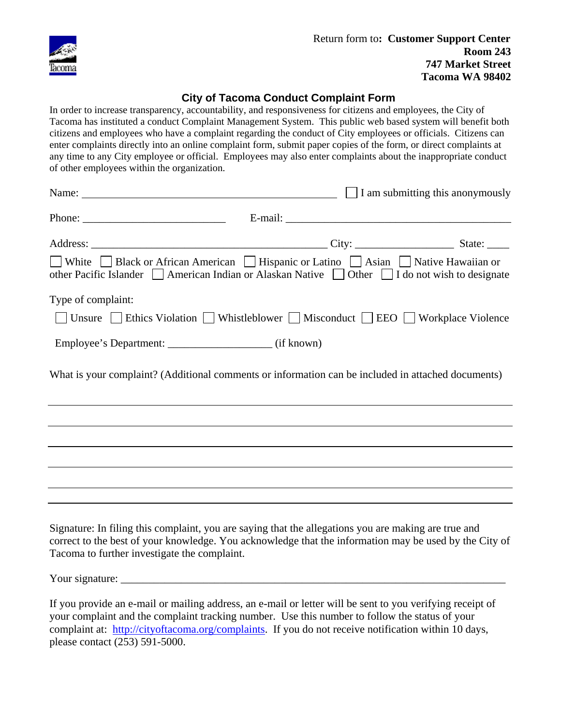

## **City of Tacoma Conduct Complaint Form**

In order to increase transparency, accountability, and responsiveness for citizens and employees, the City of Tacoma has instituted a conduct Complaint Management System. This public web based system will benefit both citizens and employees who have a complaint regarding the conduct of City employees or officials. Citizens can enter complaints directly into an online complaint form, submit paper copies of the form, or direct complaints at any time to any City employee or official. Employees may also enter complaints about the inappropriate conduct of other employees within the organization.

| Name: $\Box$ I am submitting this anonymously                                                                                                                                                                                                                  |  |
|----------------------------------------------------------------------------------------------------------------------------------------------------------------------------------------------------------------------------------------------------------------|--|
|                                                                                                                                                                                                                                                                |  |
|                                                                                                                                                                                                                                                                |  |
| ■ White Black or African American ■ Hispanic or Latino ■ Asian ■ Native Hawaiian or<br>other Pacific Islander   American Indian or Alaskan Native   Other   I do not wish to designate                                                                         |  |
| Type of complaint:                                                                                                                                                                                                                                             |  |
| □ Unsure □ Ethics Violation □ Whistleblower □ Misconduct □ EEO □ Workplace Violence                                                                                                                                                                            |  |
|                                                                                                                                                                                                                                                                |  |
| What is your complaint? (Additional comments or information can be included in attached documents)                                                                                                                                                             |  |
|                                                                                                                                                                                                                                                                |  |
| ,我们也不会有什么。""我们的人,我们也不会有什么?""我们的人,我们也不会有什么?""我们的人,我们也不会有什么?""我们的人,我们也不会有什么?""我们的人                                                                                                                                                                               |  |
|                                                                                                                                                                                                                                                                |  |
| ,我们也不会有什么。""我们的人,我们也不会有什么?""我们的人,我们也不会有什么?""我们的人,我们也不会有什么?""我们的人,我们也不会有什么?""我们的人                                                                                                                                                                               |  |
|                                                                                                                                                                                                                                                                |  |
| Signature: In filing this complaint, you are saying that the allegations you are making are true and<br>correct to the best of your knowledge. You acknowledge that the information may be used by the City of<br>Tacoma to further investigate the complaint. |  |

Your signature: \_\_\_\_\_\_\_\_\_\_\_\_\_\_\_\_\_\_\_\_\_\_\_\_\_\_\_\_\_\_\_\_\_\_\_\_\_\_\_\_\_\_\_\_\_\_\_\_\_\_\_\_\_\_\_\_\_\_\_\_\_\_\_\_\_\_\_\_\_\_

If you provide an e-mail or mailing address, an e-mail or letter will be sent to you verifying receipt of your complaint and the complaint tracking number. Use this number to follow the status of your complaint at: http://cityoftacoma.org/complaints. If you do not receive notification within 10 days, please contact (253) 591-5000.